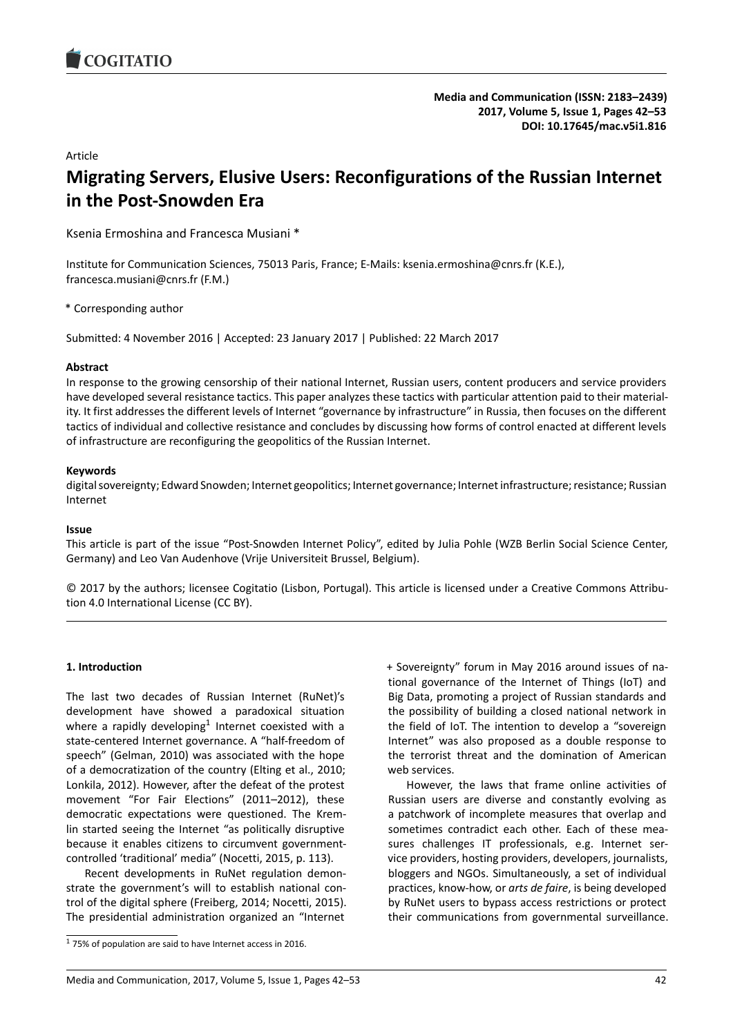### Article

# **Migrating Servers, Elusive Users: Reconfigurations of the Russian Internet in the Post-Snowden Era**

Ksenia Ermoshina and Francesca Musiani \*

Institute for Communication Sciences, 75013 Paris, France; E-Mails: ksenia.ermoshina@cnrs.fr (K.E.), francesca.musiani@cnrs.fr (F.M.)

\* Corresponding author

Submitted: 4 November 2016 | Accepted: 23 January 2017 | Published: 22 March 2017

### **Abstract**

In response to the growing censorship of their national Internet, Russian users, content producers and service providers have developed several resistance tactics. This paper analyzes these tactics with particular attention paid to their materiality. It first addresses the different levels of Internet "governance by infrastructure" in Russia, then focuses on the different tactics of individual and collective resistance and concludes by discussing how forms of control enacted at different levels of infrastructure are reconfiguring the geopolitics of the Russian Internet.

### **Keywords**

digital sovereignty; Edward Snowden; Internet geopolitics; Internet governance; Internet infrastructure; resistance; Russian Internet

### **Issue**

This article is part of the issue "Post-Snowden Internet Policy", edited by Julia Pohle (WZB Berlin Social Science Center, Germany) and Leo Van Audenhove (Vrije Universiteit Brussel, Belgium).

© 2017 by the authors; licensee Cogitatio (Lisbon, Portugal). This article is licensed under a Creative Commons Attribution 4.0 International License (CC BY).

### **1. Introduction**

The last two decades of Russian Internet (RuNet)'s development have showed a paradoxical situation where a rapidly developing<sup>1</sup> Internet coexisted with a state-centered Internet governance. A "half-freedom of speech" (Gelman, 2010) was associated with the hope of a democratization of the country (Elting et al., 2010; Lonkila, 2012). However, af[te](#page-0-0)r the defeat of the protest movement "For Fair Elections" (2011–2012), these democratic expectations were questioned. The Kremlin started seeing the Internet "as politically disruptive because it enables citizens to circumvent governmentcontrolled 'traditional' media" (Nocetti, 2015, p. 113).

Recent developments in RuNet regulation demonstrate the government's will to establish national control of the digital sphere (Freiberg, 2014; Nocetti, 2015). The presidential administration organized an "Internet

+ Sovereignty" forum in May 2016 around issues of national governance of the Internet of Things (IoT) and Big Data, promoting a project of Russian standards and the possibility of building a closed national network in the field of IoT. The intention to develop a "sovereign Internet" was also proposed as a double response to the terrorist threat and the domination of American web services.

However, the laws that frame online activities of Russian users are diverse and constantly evolving as a patchwork of incomplete measures that overlap and sometimes contradict each other. Each of these measures challenges IT professionals, e.g. Internet service providers, hosting providers, developers, journalists, bloggers and NGOs. Simultaneously, a set of individual practices, know-how, or *arts de faire*, is being developed by RuNet users to bypass access restrictions or protect their communications from governmental surveillance.

<span id="page-0-0"></span> $1$  75% of population are said to have Internet access in 2016.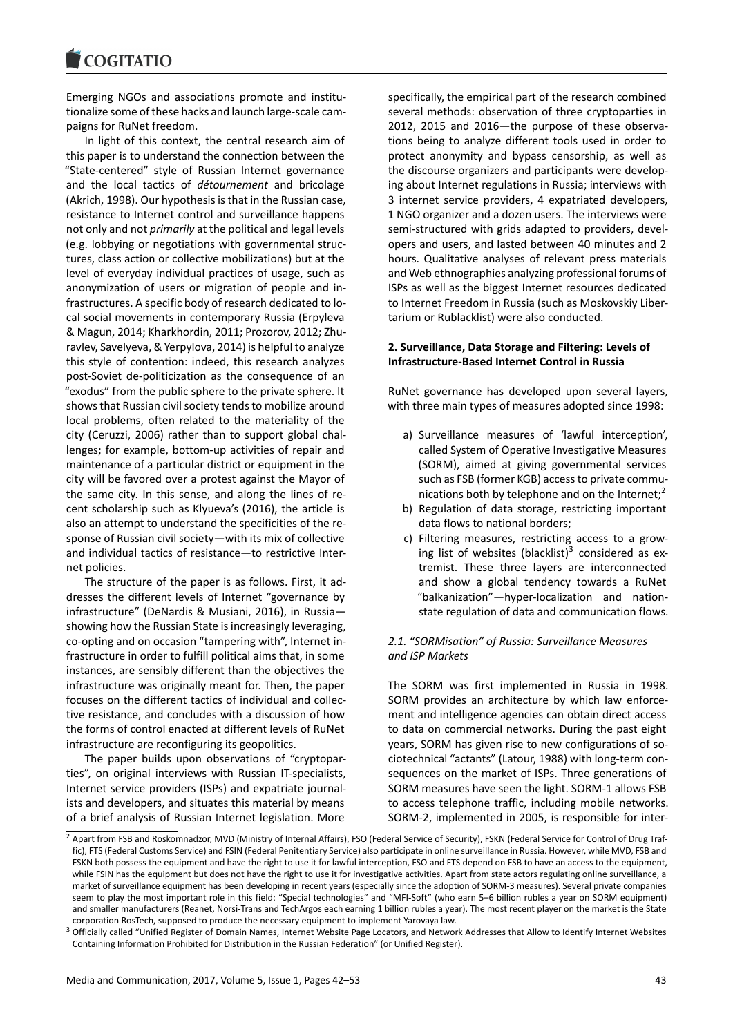#### **COMMITMENT**

Emerging NGOs and associations promote and institutionalize some of these hacks and launch large-scale campaigns for RuNet freedom.

In light of this context, the central research aim of this paper is to understand the connection between the "State-centered" style of Russian Internet governance and the local tactics of *détournement* and bricolage (Akrich, 1998). Our hypothesis is that in the Russian case, resistance to Internet control and surveillance happens not only and not *primarily* at the political and legal levels (e.g. lobbying or negotiations with governmental structures, class action or collective mobilizations) but at the level of everyday individual practices of usage, such as anonymization of users or migration of people and infrastructures. A specific body of research dedicated to local social movements in contemporary Russia (Erpyleva & Magun, 2014; Kharkhordin, 2011; Prozorov, 2012; Zhuravlev, Savelyeva, & Yerpylova, 2014) is helpful to analyze this style of contention: indeed, this research analyzes post-Soviet de-politicization as the consequence of an "exodus" from the public sphere to the private sphere. It shows that Russian civil society tends to mobilize around local problems, often related to the materiality of the city (Ceruzzi, 2006) rather than to support global challenges; for example, bottom-up activities of repair and maintenance of a particular district or equipment in the city will be favored over a protest against the Mayor of the same city. In this sense, and along the lines of recent scholarship such as Klyueva's (2016), the article is also an attempt to understand the specificities of the response of Russian civil society—with its mix of collective and individual tactics of resistance—to restrictive Internet policies.

The structure of the paper is as follows. First, it addresses the different levels of Internet "governance by infrastructure" (DeNardis & Musiani, 2016), in Russia showing how the Russian State is increasingly leveraging, co-opting and on occasion "tampering with", Internet infrastructure in order to fulfill political aims that, in some instances, are sensibly different than the objectives the infrastructure was originally meant for. Then, the paper focuses on the different tactics of individual and collective resistance, and concludes with a discussion of how the forms of control enacted at different levels of RuNet infrastructure are reconfiguring its geopolitics.

The paper builds upon observations of "cryptoparties", on original interviews with Russian IT-specialists, Internet service providers (ISPs) and expatriate journalists and developers, and situates this material by means of a brief analysis of Russian Internet legislation. More

specifically, the empirical part of the research combined several methods: observation of three cryptoparties in 2012, 2015 and 2016—the purpose of these observations being to analyze different tools used in order to protect anonymity and bypass censorship, as well as the discourse organizers and participants were developing about Internet regulations in Russia; interviews with 3 internet service providers, 4 expatriated developers, 1 NGO organizer and a dozen users. The interviews were semi-structured with grids adapted to providers, developers and users, and lasted between 40 minutes and 2 hours. Qualitative analyses of relevant press materials and Web ethnographies analyzing professional forums of ISPs as well as the biggest Internet resources dedicated to Internet Freedom in Russia (such as Moskovskiy Libertarium or Rublacklist) were also conducted.

# **2. Surveillance, Data Storage and Filtering: Levels of Infrastructure-Based Internet Control in Russia**

RuNet governance has developed upon several layers, with three main types of measures adopted since 1998:

- a) Surveillance measures of 'lawful interception', called System of Operative Investigative Measures (SORM), aimed at giving governmental services such as FSB (former KGB) access to private communications both by telephone and on the Internet; $<sup>2</sup>$ </sup>
- b) Regulation of data storage, restricting important data flows to national borders;
- c) Filtering measures, restricting access to a growing list of websites (blacklist) $3$  considered as e[x](#page-1-0)tremist. These three layers are interconnected and show a global tendency towards a RuNet "balkanization"—hyper-localization and nationstate regulation of data and c[om](#page-1-1)munication flows.

### *2.1. "SORMisation" of Russia: Surveillance Measures and ISP Markets*

The SORM was first implemented in Russia in 1998. SORM provides an architecture by which law enforcement and intelligence agencies can obtain direct access to data on commercial networks. During the past eight years, SORM has given rise to new configurations of sociotechnical "actants" (Latour, 1988) with long-term consequences on the market of ISPs. Three generations of SORM measures have seen the light. SORM-1 allows FSB to access telephone traffic, including mobile networks. SORM-2, implemented in 2005, is responsible for inter-

<sup>&</sup>lt;sup>2</sup> Apart from FSB and Roskomnadzor, MVD (Ministry of Internal Affairs), FSO (Federal Service of Security), FSKN (Federal Service for Control of Drug Traffic), FTS (Federal Customs Service) and FSIN (Federal Penitentiary Service) also participate in online surveillance in Russia. However, while MVD, FSB and FSKN both possess the equipment and have the right to use it for lawful interception, FSO and FTS depend on FSB to have an access to the equipment, while FSIN has the equipment but does not have the right to use it for investigative activities. Apart from state actors regulating online surveillance, a market of surveillance equipment has been developing in recent years (especially since the adoption of SORM-3 measures). Several private companies seem to play the most important role in this field: "Special technologies" and "MFI-Soft" (who earn 5–6 billion rubles a year on SORM equipment) and smaller manufacturers (Reanet, Norsi-Trans and TechArgos each earning 1 billion rubles a year). The most recent player on the market is the State corporation RosTech, supposed to produce the necessary equipment to implement Yarovaya law.

<span id="page-1-1"></span><span id="page-1-0"></span><sup>&</sup>lt;sup>3</sup> Officially called "Unified Register of Domain Names, Internet Website Page Locators, and Network Addresses that Allow to Identify Internet Websites Containing Information Prohibited for Distribution in the Russian Federation" (or Unified Register).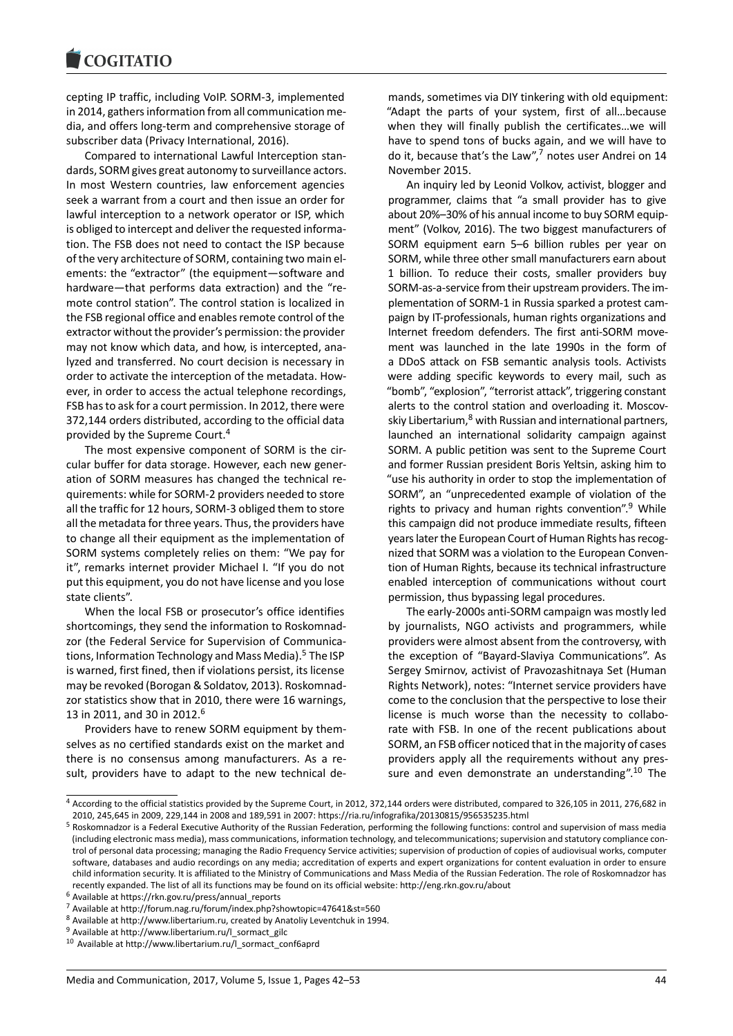cepting IP traffic, including VoIP. SORM-3, implemented in 2014, gathers information from all communication media, and offers long-term and comprehensive storage of subscriber data (Privacy International, 2016).

Compared to international Lawful Interception standards, SORM gives great autonomy to surveillance actors. In most Western countries, law enforcement agencies seek a warrant from a court and then issue an order for lawful interception to a network operator or ISP, which is obliged to intercept and deliver the requested information. The FSB does not need to contact the ISP because of the very architecture of SORM, containing two main elements: the "extractor" (the equipment—software and hardware—that performs data extraction) and the "remote control station". The control station is localized in the FSB regional office and enables remote control of the extractor without the provider's permission: the provider may not know which data, and how, is intercepted, analyzed and transferred. No court decision is necessary in order to activate the interception of the metadata. However, in order to access the actual telephone recordings, FSB has to ask for a court permission. In 2012, there were 372,144 orders distributed, according to the official data provided by the Supreme Court.<sup>4</sup>

The most expensive component of SORM is the circular buffer for data storage. However, each new generation of SORM measures has changed the technical requirements: while for SORM-2 p[ro](#page-2-0)viders needed to store all the traffic for 12 hours, SORM-3 obliged them to store all the metadata for three years. Thus, the providers have to change all their equipment as the implementation of SORM systems completely relies on them: "We pay for it", remarks internet provider Michael I. "If you do not put this equipment, you do not have license and you lose state clients".

When the local FSB or prosecutor's office identifies shortcomings, they send the information to Roskomnadzor (the Federal Service for Supervision of Communications, Information Technology and Mass Media).<sup>5</sup> The ISP is warned, first fined, then if violations persist, its license may be revoked (Borogan & Soldatov, 2013). Roskomnadzor statistics show that in 2010, there were 16 warnings, 13 in 2011, and 30 in 2012.<sup>6</sup>

Providers have to renew SORM equipment by themselves as no certified standards exist on the market and there is no consensus among manufacturers. As a result, providers have to ad[ap](#page-2-1)t to the new technical demands, sometimes via DIY tinkering with old equipment: "Adapt the parts of your system, first of all…because when they will finally publish the certificates…we will have to spend tons of bucks again, and we will have to do it, because that's the Law", $7$  notes user Andrei on 14 November 2015.

An inquiry led by Leonid Volkov, activist, blogger and programmer, claims that "a small provider has to give about 20%–30% of his annuali[nc](#page-2-2)ome to buy SORM equipment" (Volkov, 2016). The two biggest manufacturers of SORM equipment earn 5–6 billion rubles per year on SORM, while three other small manufacturers earn about 1 billion. To reduce their costs, smaller providers buy SORM-as-a-service from their upstream providers. The implementation of SORM-1 in Russia sparked a protest campaign by IT-professionals, human rights organizations and Internet freedom defenders. The first anti-SORM movement was launched in the late 1990s in the form of a DDoS attack on FSB semantic analysis tools. Activists were adding specific keywords to every mail, such as "bomb", "explosion", "terrorist attack", triggering constant alerts to the control station and overloading it. Moscovskiy Libertarium,<sup>8</sup> with Russian and international partners, launched an international solidarity campaign against SORM. A public petition was sent to the Supreme Court and former Russian president Boris Yeltsin, asking him to "use his authori[ty](#page-2-3) in order to stop the implementation of SORM", an "unprecedented example of violation of the rights to privacy and human rights convention".<sup>9</sup> While this campaign did not produce immediate results, fifteen years later the European Court of Human Rights has recognized that SORM was a violation to the European Convention of Human Rights, because its technical infras[tr](#page-2-4)ucture enabled interception of communications without court permission, thus bypassing legal procedures.

The early-2000s anti-SORM campaign was mostly led by journalists, NGO activists and programmers, while providers were almost absent from the controversy, with the exception of "Bayard-Slaviya Communications". As Sergey Smirnov, activist of Pravozashitnaya Set (Human Rights Network), notes: "Internet service providers have come to the conclusion that the perspective to lose their license is much worse than the necessity to collaborate with FSB. In one of the recent publications about SORM, an FSB officer noticed that in the majority of cases providers apply all the requirements without any pressure and even demonstrate an understanding".<sup>10</sup> The

<sup>4</sup> According to the official statistics provided by the Supreme Court, in 2012, 372,144 orders were distributed, compared to 326,105 in 2011, 276,682 in 2010, 245,645 in 2009, 229,144 in 2008 and 189,591 in 2007: https://ria.ru/infografika/20130815/956535235.html

<sup>&</sup>lt;sup>5</sup> Roskomnadzor is a Federal Executive Authority of the Russian Federation, performing the following functions: control and supervision of ma[ss m](#page-2-5)edia (including electronic mass media), mass communications, information technology, and telecommunications; supervision and statutory compliance control of personal data processing; managing the Radio Frequency Service activities; supervision of production of copies of audiovisual works, computer software, databases and audio recordings on any media; accreditation of experts and expert organizations for content evaluation in order to ensure child information security. It is affiliated to the Ministry of Communications and Mass Media of the Russian Federation. The role of Roskomnadzor has recently expanded. The list of all its functions may be found on its official website: http://eng.rkn.gov.ru/about

<span id="page-2-0"></span><sup>6</sup> Available at https://rkn.gov.ru/press/annual\_reports

<sup>7</sup> Available at http://forum.nag.ru/forum/index.php?showtopic=47641&st=560

<sup>8</sup> Available at http://www.libertarium.ru, created by Anatoliy Leventchuk in 1994.

 $9$  Available at http://www.libertarium.ru/l\_sormact\_gilc

<span id="page-2-5"></span><span id="page-2-4"></span><span id="page-2-3"></span><span id="page-2-2"></span><span id="page-2-1"></span><sup>10</sup> Available at http://www.libertarium.ru/l\_sormact\_conf6aprd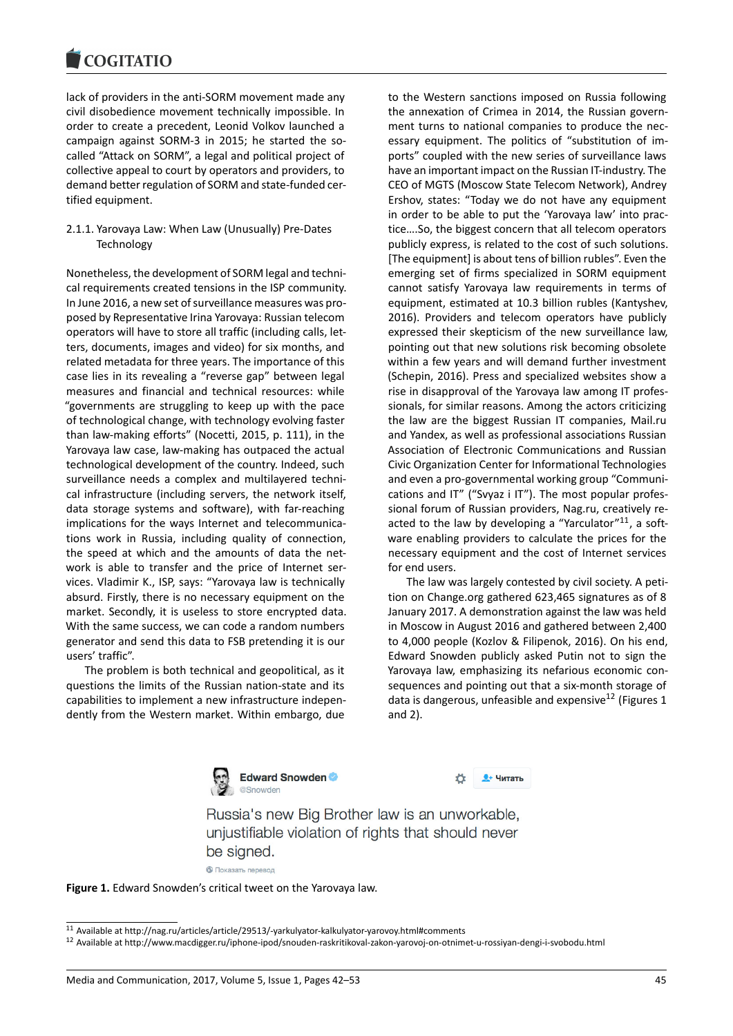#### **COMMITMENT**

lack of providers in the anti-SORM movement made any civil disobedience movement technically impossible. In order to create a precedent, Leonid Volkov launched a campaign against SORM-3 in 2015; he started the socalled "Attack on SORM", a legal and political project of collective appeal to court by operators and providers, to demand better regulation of SORM and state-funded certified equipment.

2.1.1. Yarovaya Law: When Law (Unusually) Pre-Dates **Technology** 

Nonetheless, the development of SORM legal and technical requirements created tensions in the ISP community. In June 2016, a new set of surveillance measures was proposed by Representative Irina Yarovaya: Russian telecom operators will have to store all traffic (including calls, letters, documents, images and video) for six months, and related metadata for three years. The importance of this case lies in its revealing a "reverse gap" between legal measures and financial and technical resources: while "governments are struggling to keep up with the pace of technological change, with technology evolving faster than law-making efforts" (Nocetti, 2015, p. 111), in the Yarovaya law case, law-making has outpaced the actual technological development of the country. Indeed, such surveillance needs a complex and multilayered technical infrastructure (including servers, the network itself, data storage systems and software), with far-reaching implications for the ways Internet and telecommunications work in Russia, including quality of connection, the speed at which and the amounts of data the network is able to transfer and the price of Internet services. Vladimir K., ISP, says: "Yarovaya law is technically absurd. Firstly, there is no necessary equipment on the market. Secondly, it is useless to store encrypted data. With the same success, we can code a random numbers generator and send this data to FSB pretending it is our users' traffic".

The problem is both technical and geopolitical, as it questions the limits of the Russian nation-state and its capabilities to implement a new infrastructure independently from the Western market. Within embargo, due

to the Western sanctions imposed on Russia following the annexation of Crimea in 2014, the Russian government turns to national companies to produce the necessary equipment. The politics of "substitution of imports" coupled with the new series of surveillance laws have an important impact on the Russian IT-industry. The CEO of MGTS (Moscow State Telecom Network), Andrey Ershov, states: "Today we do not have any equipment in order to be able to put the 'Yarovaya law' into practice….So, the biggest concern that all telecom operators publicly express, is related to the cost of such solutions. [The equipment] is about tens of billion rubles". Even the emerging set of firms specialized in SORM equipment cannot satisfy Yarovaya law requirements in terms of equipment, estimated at 10.3 billion rubles (Kantyshev, 2016). Providers and telecom operators have publicly expressed their skepticism of the new surveillance law, pointing out that new solutions risk becoming obsolete within a few years and will demand further investment (Schepin, 2016). Press and specialized websites show a rise in disapproval of the Yarovaya law among IT professionals, for similar reasons. Among the actors criticizing the law are the biggest Russian IT companies, Mail.ru and Yandex, as well as professional associations Russian Association of Electronic Communications and Russian Civic Organization Center for Informational Technologies and even a pro-governmental working group "Communications and IT" ("Svyaz i IT"). The most popular professional forum of Russian providers, Nag.ru, creatively reacted to the law by developing a "Yarculator" $11$ , a software enabling providers to calculate the prices for the necessary equipment and the cost of Internet services for end users.

The law was largely contested by civil society. A petition on Change.org gathered 623,465 signatures as of 8 January 2017. A demonstration against the law was held in Moscow in August 2016 and gathered between 2,400 to 4,000 people (Kozlov & Filipenok, 2016). On his end, Edward Snowden publicly asked Putin not to sign the Yarovaya law, emphasizing its nefarious economic consequences and pointing out that a six-month storage of data is dangerous, unfeasible and expensive<sup>12</sup> (Figures 1) and 2).



**Q+ Читать** 

Russia's new Big Brother law is an unworkable, unjustifiable violation of rights that should never be signed.

• Показать перевод



<sup>11</sup> Available at http://nag.ru/articles/article/29513/-yarkulyator-kalkulyator-yarovoy.html#comments

<sup>12</sup> Available at http://www.macdigger.ru/iphone-ipod/snouden-raskritikoval-zakon-yarovoj-on-otnimet-u-rossiyan-dengi-i-svobodu.html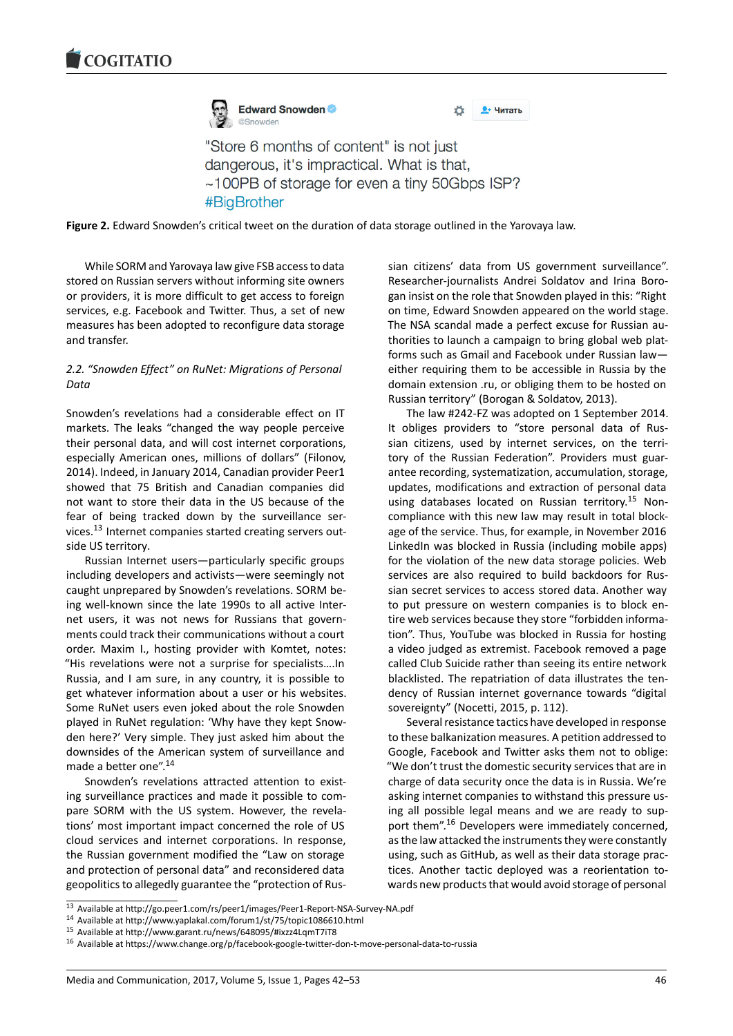

<u><sup>•</sup> Читать</u>

"Store 6 months of content" is not just dangerous, it's impractical. What is that, ~100PB of storage for even a tiny 50Gbps ISP? #BigBrother

**Figure 2.** Edward Snowden's critical tweet on the duration of data storage outlined in the Yarovaya law.

While SORM and Yarovaya law give FSB access to data stored on Russian servers without informing site owners or providers, it is more difficult to get access to foreign services, e.g. Facebook and Twitter. Thus, a set of new measures has been adopted to reconfigure data storage and transfer.

# *2.2. "Snowden Effect" on RuNet: Migrations of Personal Data*

Snowden's revelations had a considerable effect on IT markets. The leaks "changed the way people perceive their personal data, and will cost internet corporations, especially American ones, millions of dollars" (Filonov, 2014). Indeed, in January 2014, Canadian provider Peer1 showed that 75 British and Canadian companies did not want to store their data in the US because of the fear of being tracked down by the surveillance services.<sup>13</sup> Internet companies started creating servers outside US territory.

Russian Internet users—particularly specific groups including developers and activists—were seemingly not caug[ht](#page-4-0) unprepared by Snowden's revelations. SORM being well-known since the late 1990s to all active Internet users, it was not news for Russians that governments could track their communications without a court order. Maxim I., hosting provider with Komtet, notes: "His revelations were not a surprise for specialists….In Russia, and I am sure, in any country, it is possible to get whatever information about a user or his websites. Some RuNet users even joked about the role Snowden played in RuNet regulation: 'Why have they kept Snowden here?' Very simple. They just asked him about the downsides of the American system of surveillance and made a better one".<sup>14</sup>

Snowden's revelations attracted attention to existing surveillance practices and made it possible to compare SORM with the US system. However, the revelations' most import[ant](#page-4-1) impact concerned the role of US cloud services and internet corporations. In response, the Russian government modified the "Law on storage and protection of personal data" and reconsidered data geopolitics to allegedly guarantee the "protection of Russian citizens' data from US government surveillance". Researcher-journalists Andrei Soldatov and Irina Borogan insist on the role that Snowden played in this: "Right on time, Edward Snowden appeared on the world stage. The NSA scandal made a perfect excuse for Russian authorities to launch a campaign to bring global web platforms such as Gmail and Facebook under Russian law either requiring them to be accessible in Russia by the domain extension .ru, or obliging them to be hosted on Russian territory" (Borogan & Soldatov, 2013).

The law #242-FZ was adopted on 1 September 2014. It obliges providers to "store personal data of Russian citizens, used by internet services, on the territory of the Russian Federation". Providers must guarantee recording, systematization, accumulation, storage, updates, modifications and extraction of personal data using databases located on Russian territory.<sup>15</sup> Noncompliance with this new law may result in total blockage of the service. Thus, for example, in November 2016 LinkedIn was blocked in Russia (including mobile apps) for the violation of the new data storage polici[es](#page-4-2). Web services are also required to build backdoors for Russian secret services to access stored data. Another way to put pressure on western companies is to block entire web services because they store "forbidden information". Thus, YouTube was blocked in Russia for hosting a video judged as extremist. Facebook removed a page called Club Suicide rather than seeing its entire network blacklisted. The repatriation of data illustrates the tendency of Russian internet governance towards "digital sovereignty" (Nocetti, 2015, p. 112).

Several resistance tactics have developed in response to these balkanization measures. A petition addressed to Google, Facebook and Twitter asks them not to oblige: "We don't trust the domestic security services that are in charge of data security once the data is in Russia. We're asking internet companies to withstand this pressure using all possible legal means and we are ready to support them".<sup>16</sup> Developers were immediately concerned, as the law attacked the instruments they were constantly using, such as GitHub, as well as their data storage practices. Another tactic deployed was a reorientation towards new [pro](#page-4-3)ducts that would avoid storage of personal

<sup>14</sup> Available at http://www.yaplakal.com/forum1/st/75/topic1086610.html

<sup>13</sup> Available at http://go.peer1.com/rs/peer1/images/Peer1-Report-NSA-Survey-NA.pdf

<sup>15</sup> Available at http://www.garant.ru/news/648095/#ixzz4LqmT7iT8

<span id="page-4-3"></span><span id="page-4-2"></span><span id="page-4-1"></span><span id="page-4-0"></span><sup>16</sup> Available at https://www.change.org/p/facebook-google-twitter-don-t-move-personal-data-to-russia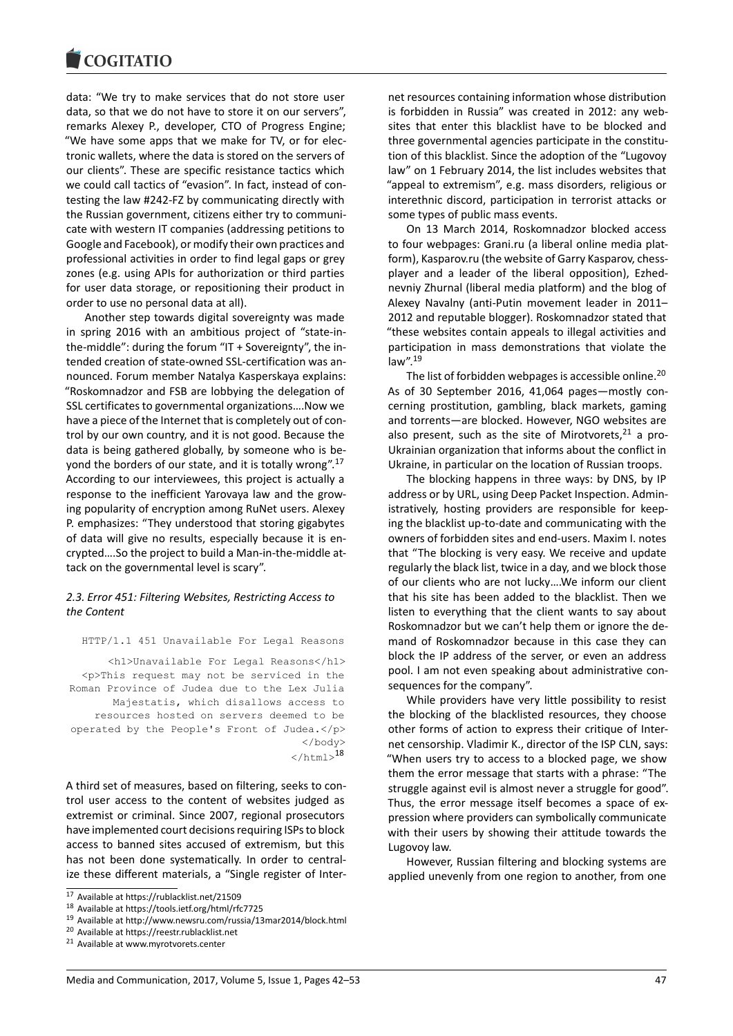data: "We try to make services that do not store user data, so that we do not have to store it on our servers", remarks Alexey P., developer, CTO of Progress Engine; "We have some apps that we make for TV, or for electronic wallets, where the data is stored on the servers of our clients". These are specific resistance tactics which we could call tactics of "evasion". In fact, instead of contesting the law #242-FZ by communicating directly with the Russian government, citizens either try to communicate with western IT companies (addressing petitions to Google and Facebook), or modify their own practices and professional activities in order to find legal gaps or grey zones (e.g. using APIs for authorization or third parties for user data storage, or repositioning their product in order to use no personal data at all).

Another step towards digital sovereignty was made in spring 2016 with an ambitious project of "state-inthe-middle": during the forum "IT + Sovereignty", the intended creation of state-owned SSL-certification was announced. Forum member Natalya Kasperskaya explains: "Roskomnadzor and FSB are lobbying the delegation of SSL certificates to governmental organizations….Now we have a piece of the Internet that is completely out of control by our own country, and it is not good. Because the data is being gathered globally, by someone who is beyond the borders of our state, and it is totally wrong".<sup>17</sup> According to our interviewees, this project is actually a response to the inefficient Yarovaya law and the growing popularity of encryption among RuNet users. Alexey P. emphasizes: "They understood that storing gigabyt[es](#page-5-0) of data will give no results, especially because it is encrypted….So the project to build a Man-in-the-middle attack on the governmental level is scary".

# *2.3. Error 451: Filtering Websites, Restricting Access to the Content*

HTTP/1.1 451 Unavailable For Legal Reasons

<h1>Unavailable For Legal Reasons</h1> <p>This request may not be serviced in the Roman Province of Judea due to the Lex Julia Majestatis, which disallows access to resources hosted on servers deemed to be operated by the People's Front of Judea.</p> </body>  $\langle$ /html $>$ <sup>18</sup>

A third set of measures, based on filtering, seeks to control user access to the content of websites judged as extremist or criminal. Since 2007, regional prosecut[ors](#page-5-1) have implemented court decisions requiring ISPs to block access to banned sites accused of extremism, but this has not been done systematically. In order to centralize these different materials, a "Single register of Internet resources containing information whose distribution is forbidden in Russia" was created in 2012: any websites that enter this blacklist have to be blocked and three governmental agencies participate in the constitution of this blacklist. Since the adoption of the "Lugovoy law" on 1 February 2014, the list includes websites that "appeal to extremism", e.g. mass disorders, religious or interethnic discord, participation in terrorist attacks or some types of public mass events.

On 13 March 2014, Roskomnadzor blocked access to four webpages: Grani.ru (a liberal online media platform), Kasparov.ru (the website of Garry Kasparov, chessplayer and a leader of the liberal opposition), Ezhednevniy Zhurnal (liberal media platform) and the blog of Alexey Navalny (anti-Putin movement leader in 2011– 2012 and reputable blogger). Roskomnadzor stated that "these websites contain appeals to illegal activities and participation in mass demonstrations that violate the law".<sup>19</sup>

The list of forbidden webpages is accessible online.<sup>20</sup> As of 30 September 2016, 41,064 pages—mostly concerning prostitution, gambling, black markets, gaming and [tor](#page-5-2)rents—are blocked. However, NGO websites are also present, such as the site of Mirotvorets,  $21$  a p[ro-](#page-5-3)Ukrainian organization that informs about the conflict in Ukraine, in particular on the location of Russian troops.

The blocking happens in three ways: by DNS, by IP address or by URL, using Deep Packet Inspectio[n.](#page-5-4) Administratively, hosting providers are responsible for keeping the blacklist up-to-date and communicating with the owners of forbidden sites and end-users. Maxim I. notes that "The blocking is very easy. We receive and update regularly the black list, twice in a day, and we block those of our clients who are not lucky….We inform our client that his site has been added to the blacklist. Then we listen to everything that the client wants to say about Roskomnadzor but we can't help them or ignore the demand of Roskomnadzor because in this case they can block the IP address of the server, or even an address pool. I am not even speaking about administrative consequences for the company".

While providers have very little possibility to resist the blocking of the blacklisted resources, they choose other forms of action to express their critique of Internet censorship. Vladimir K., director of the ISP CLN, says: "When users try to access to a blocked page, we show them the error message that starts with a phrase: "The struggle against evil is almost never a struggle for good". Thus, the error message itself becomes a space of expression where providers can symbolically communicate with their users by showing their attitude towards the Lugovoy law.

However, Russian filtering and blocking systems are applied unevenly from one region to another, from one

<sup>17</sup> Available at https://rublacklist.net/21509

<sup>18</sup> Available at https://tools.ietf.org/html/rfc7725

 $^{19}$  Available at http://www.newsru.com/russia/13mar2014/block.html

<sup>20</sup> Available at https://reestr.rublacklist.net

<span id="page-5-4"></span><span id="page-5-3"></span><span id="page-5-2"></span><span id="page-5-1"></span><span id="page-5-0"></span><sup>21</sup> Available at www.myrotvorets.center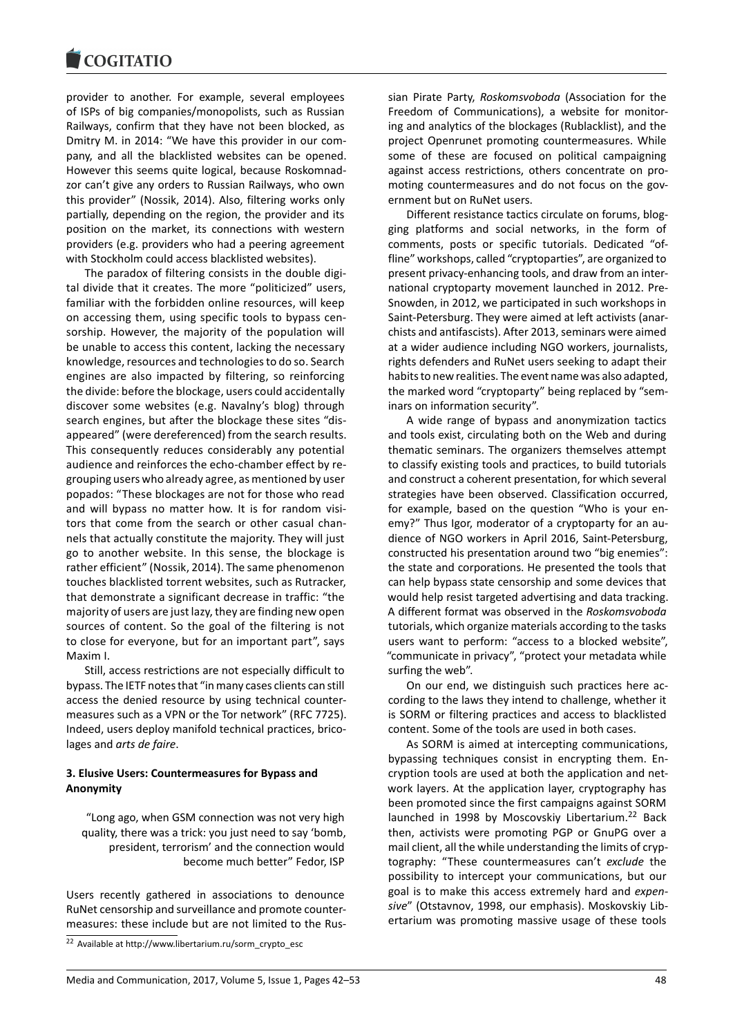#### **COMBITATIO**

provider to another. For example, several employees of ISPs of big companies/monopolists, such as Russian Railways, confirm that they have not been blocked, as Dmitry M. in 2014: "We have this provider in our company, and all the blacklisted websites can be opened. However this seems quite logical, because Roskomnadzor can't give any orders to Russian Railways, who own this provider" (Nossik, 2014). Also, filtering works only partially, depending on the region, the provider and its position on the market, its connections with western providers (e.g. providers who had a peering agreement with Stockholm could access blacklisted websites).

The paradox of filtering consists in the double digital divide that it creates. The more "politicized" users, familiar with the forbidden online resources, will keep on accessing them, using specific tools to bypass censorship. However, the majority of the population will be unable to access this content, lacking the necessary knowledge, resources and technologies to do so. Search engines are also impacted by filtering, so reinforcing the divide: before the blockage, users could accidentally discover some websites (e.g. Navalny's blog) through search engines, but after the blockage these sites "disappeared" (were dereferenced) from the search results. This consequently reduces considerably any potential audience and reinforces the echo-chamber effect by regrouping users who already agree, as mentioned by user popados: "These blockages are not for those who read and will bypass no matter how. It is for random visitors that come from the search or other casual channels that actually constitute the majority. They will just go to another website. In this sense, the blockage is rather efficient" (Nossik, 2014). The same phenomenon touches blacklisted torrent websites, such as Rutracker, that demonstrate a significant decrease in traffic: "the majority of users are just lazy, they are finding new open sources of content. So the goal of the filtering is not to close for everyone, but for an important part", says Maxim I.

Still, access restrictions are not especially difficult to bypass. The IETF notes that "in many cases clients can still access the denied resource by using technical countermeasures such as a VPN or the Tor network" (RFC 7725). Indeed, users deploy manifold technical practices, bricolages and *arts de faire*.

# **3. Elusive Users: Countermeasures for Bypass and Anonymity**

"Long ago, when GSM connection was not very high quality, there was a trick: you just need to say 'bomb, president, terrorism' and the connection would become much better" Fedor, ISP

Users recently gathered in associations to denounce RuNet censorship and surveillance and promote countermeasures: these include but are not limited to the Russian Pirate Party, *Roskomsvoboda* (Association for the Freedom of Communications), a website for monitoring and analytics of the blockages (Rublacklist), and the project Openrunet promoting countermeasures. While some of these are focused on political campaigning against access restrictions, others concentrate on promoting countermeasures and do not focus on the government but on RuNet users.

Different resistance tactics circulate on forums, blogging platforms and social networks, in the form of comments, posts or specific tutorials. Dedicated "offline" workshops, called "cryptoparties", are organized to present privacy-enhancing tools, and draw from an international cryptoparty movement launched in 2012. Pre-Snowden, in 2012, we participated in such workshops in Saint-Petersburg. They were aimed at left activists (anarchists and antifascists). After 2013, seminars were aimed at a wider audience including NGO workers, journalists, rights defenders and RuNet users seeking to adapt their habits to new realities. The event name was also adapted, the marked word "cryptoparty" being replaced by "seminars on information security".

A wide range of bypass and anonymization tactics and tools exist, circulating both on the Web and during thematic seminars. The organizers themselves attempt to classify existing tools and practices, to build tutorials and construct a coherent presentation, for which several strategies have been observed. Classification occurred, for example, based on the question "Who is your enemy?" Thus Igor, moderator of a cryptoparty for an audience of NGO workers in April 2016, Saint-Petersburg, constructed his presentation around two "big enemies": the state and corporations. He presented the tools that can help bypass state censorship and some devices that would help resist targeted advertising and data tracking. A different format was observed in the *Roskomsvoboda* tutorials, which organize materials according to the tasks users want to perform: "access to a blocked website", "communicate in privacy", "protect your metadata while surfing the web".

On our end, we distinguish such practices here according to the laws they intend to challenge, whether it is SORM or filtering practices and access to blacklisted content. Some of the tools are used in both cases.

As SORM is aimed at intercepting communications, bypassing techniques consist in encrypting them. Encryption tools are used at both the application and network layers. At the application layer, cryptography has been promoted since the first campaigns against SORM launched in 1998 by Moscovskiy Libertarium.<sup>22</sup> Back then, activists were promoting PGP or GnuPG over a mail client, all the while understanding the limits of cryptography: "These countermeasures can't *exclude* the possibility to intercept your communications, [bu](#page-6-0)t our goal is to make this access extremely hard and *expensive*" (Otstavnov, 1998, our emphasis). Moskovskiy Libertarium was promoting massive usage of these tools

<span id="page-6-0"></span><sup>22</sup> Available at http://www.libertarium.ru/sorm\_crypto\_esc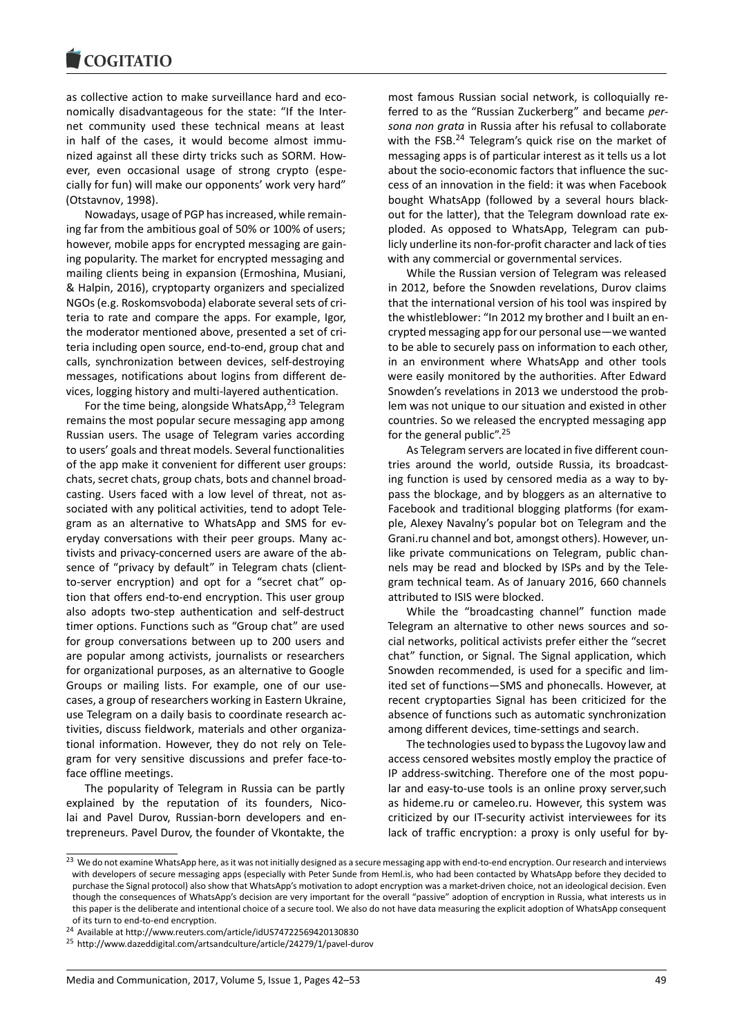#### COMITATIO

as collective action to make surveillance hard and economically disadvantageous for the state: "If the Internet community used these technical means at least in half of the cases, it would become almost immunized against all these dirty tricks such as SORM. However, even occasional usage of strong crypto (especially for fun) will make our opponents' work very hard" (Otstavnov, 1998).

Nowadays, usage of PGP has increased, while remaining far from the ambitious goal of 50% or 100% of users; however, mobile apps for encrypted messaging are gaining popularity. The market for encrypted messaging and mailing clients being in expansion (Ermoshina, Musiani, & Halpin, 2016), cryptoparty organizers and specialized NGOs (e.g. Roskomsvoboda) elaborate several sets of criteria to rate and compare the apps. For example, Igor, the moderator mentioned above, presented a set of criteria including open source, end-to-end, group chat and calls, synchronization between devices, self-destroying messages, notifications about logins from different devices, logging history and multi-layered authentication.

For the time being, alongside WhatsApp, $23$  Telegram remains the most popular secure messaging app among Russian users. The usage of Telegram varies according to users' goals and threat models. Several functionalities of the app make it convenient for different [use](#page-7-0)r groups: chats, secret chats, group chats, bots and channel broadcasting. Users faced with a low level of threat, not associated with any political activities, tend to adopt Telegram as an alternative to WhatsApp and SMS for everyday conversations with their peer groups. Many activists and privacy-concerned users are aware of the absence of "privacy by default" in Telegram chats (clientto-server encryption) and opt for a "secret chat" option that offers end-to-end encryption. This user group also adopts two-step authentication and self-destruct timer options. Functions such as "Group chat" are used for group conversations between up to 200 users and are popular among activists, journalists or researchers for organizational purposes, as an alternative to Google Groups or mailing lists. For example, one of our usecases, a group of researchers working in Eastern Ukraine, use Telegram on a daily basis to coordinate research activities, discuss fieldwork, materials and other organizational information. However, they do not rely on Telegram for very sensitive discussions and prefer face-toface offline meetings.

The popularity of Telegram in Russia can be partly explained by the reputation of its founders, Nicolai and Pavel Durov, Russian-born developers and entrepreneurs. Pavel Durov, the founder of Vkontakte, the

most famous Russian social network, is colloquially referred to as the "Russian Zuckerberg" and became *persona non grata* in Russia after his refusal to collaborate with the FSB.<sup>24</sup> Telegram's quick rise on the market of messaging apps is of particular interest as it tells us a lot about the socio-economic factors that influence the success of an innovation in the field: it was when Facebook bought Wha[tsA](#page-7-1)pp (followed by a several hours blackout for the latter), that the Telegram download rate exploded. As opposed to WhatsApp, Telegram can publicly underline its non-for-profit character and lack of ties with any commercial or governmental services.

While the Russian version of Telegram was released in 2012, before the Snowden revelations, Durov claims that the international version of his tool was inspired by the whistleblower: "In 2012 my brother and I built an encrypted messaging app for our personal use—we wanted to be able to securely pass on information to each other, in an environment where WhatsApp and other tools were easily monitored by the authorities. After Edward Snowden's revelations in 2013 we understood the problem was not unique to our situation and existed in other countries. So we released the encrypted messaging app for the general public".<sup>25</sup>

As Telegram servers are located in five different countries around the world, outside Russia, its broadcasting function is used by censored media as a way to bypass the blockage, an[d b](#page-7-2)y bloggers as an alternative to Facebook and traditional blogging platforms (for example, Alexey Navalny's popular bot on Telegram and the Grani.ru channel and bot, amongst others). However, unlike private communications on Telegram, public channels may be read and blocked by ISPs and by the Telegram technical team. As of January 2016, 660 channels attributed to ISIS were blocked.

While the "broadcasting channel" function made Telegram an alternative to other news sources and social networks, political activists prefer either the "secret chat" function, or Signal. The Signal application, which Snowden recommended, is used for a specific and limited set of functions—SMS and phonecalls. However, at recent cryptoparties Signal has been criticized for the absence of functions such as automatic synchronization among different devices, time-settings and search.

The technologies used to bypass the Lugovoy law and access censored websites mostly employ the practice of IP address-switching. Therefore one of the most popular and easy-to-use tools is an online proxy server,such as hideme.ru or cameleo.ru. However, this system was criticized by our IT-security activist interviewees for its lack of traffic encryption: a proxy is only useful for by-

<sup>&</sup>lt;sup>23</sup> We do not examine WhatsApp here, as it was not initially designed as a secure messaging app with end-to-end encryption. Our research and interviews with developers of secure messaging apps (especially with Peter Sunde from Heml.is, who had been contacted by WhatsApp before they decided to purchase the Signal protocol) also show that WhatsApp's motivation to adopt encryption was a market-driven choice, not an ideological decision. Even though the consequences of WhatsApp's decision are very important for the overall "passive" adoption of encryption in Russia, what interests us in this paper is the deliberate and intentional choice of a secure tool. We also do not have data measuring the explicit adoption of WhatsApp consequent of its turn to end-to-end encryption.

<span id="page-7-0"></span><sup>24</sup> Available at http://www.reuters.com/article/idUS74722569420130830

<span id="page-7-2"></span><span id="page-7-1"></span><sup>25</sup> http://www.dazeddigital.com/artsandculture/article/24279/1/pavel-durov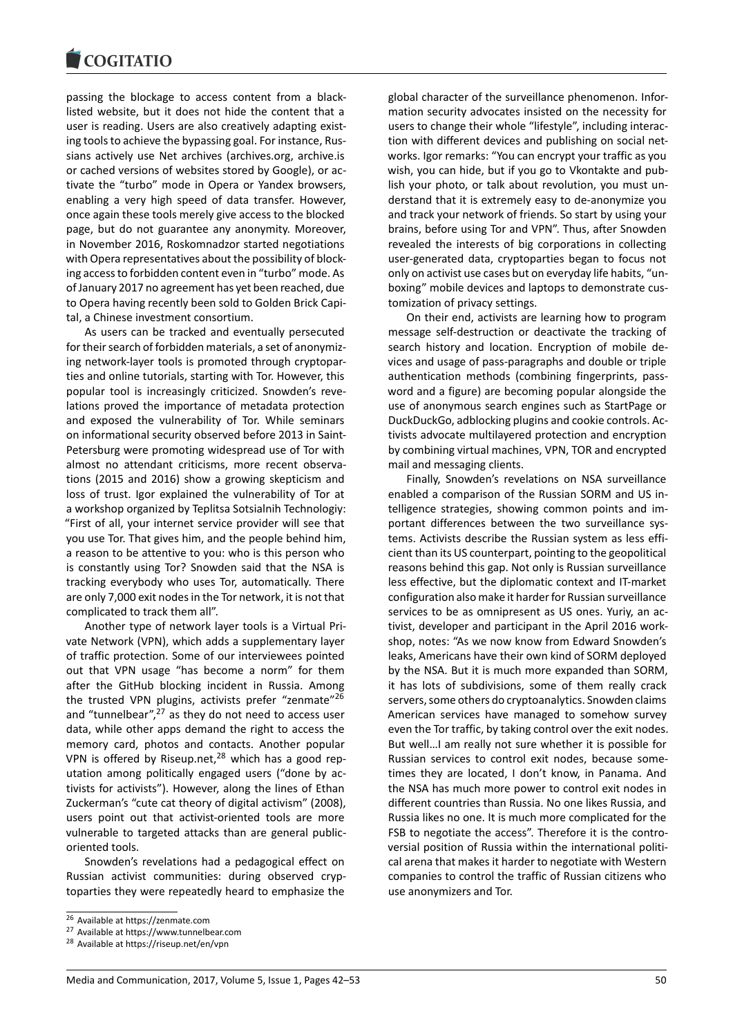#### COULTAIN

passing the blockage to access content from a blacklisted website, but it does not hide the content that a user is reading. Users are also creatively adapting existing tools to achieve the bypassing goal. For instance, Russians actively use Net archives (archives.org, archive.is or cached versions of websites stored by Google), or activate the "turbo" mode in Opera or Yandex browsers, enabling a very high speed of data transfer. However, once again these tools merely give access to the blocked page, but do not guarantee any anonymity. Moreover, in November 2016, Roskomnadzor started negotiations with Opera representatives about the possibility of blocking access to forbidden content even in "turbo" mode. As of January 2017 no agreement has yet been reached, due to Opera having recently been sold to Golden Brick Capital, a Chinese investment consortium.

As users can be tracked and eventually persecuted for their search of forbidden materials, a set of anonymizing network-layer tools is promoted through cryptoparties and online tutorials, starting with Tor. However, this popular tool is increasingly criticized. Snowden's revelations proved the importance of metadata protection and exposed the vulnerability of Tor. While seminars on informational security observed before 2013 in Saint-Petersburg were promoting widespread use of Tor with almost no attendant criticisms, more recent observations (2015 and 2016) show a growing skepticism and loss of trust. Igor explained the vulnerability of Tor at a workshop organized by Teplitsa Sotsialnih Technologiy: "First of all, your internet service provider will see that you use Tor. That gives him, and the people behind him, a reason to be attentive to you: who is this person who is constantly using Tor? Snowden said that the NSA is tracking everybody who uses Tor, automatically. There are only 7,000 exit nodes in the Tor network, it is not that complicated to track them all".

Another type of network layer tools is a Virtual Private Network (VPN), which adds a supplementary layer of traffic protection. Some of our interviewees pointed out that VPN usage "has become a norm" for them after the GitHub blocking incident in Russia. Among the trusted VPN plugins, activists prefer "zenmate"<sup>26</sup> and "tunnelbear", $27$  as they do not need to access user data, while other apps demand the right to access the memory card, photos and contacts. Another popular VPN is offered by Riseup.net, $28$  which has a good r[ep](#page-8-0)utation among p[olit](#page-8-1)ically engaged users ("done by activists for activists"). However, along the lines of Ethan Zuckerman's "cute cat theory of digital activism" (2008), users point out that activist[-or](#page-8-2)iented tools are more vulnerable to targeted attacks than are general publicoriented tools.

Snowden's revelations had a pedagogical effect on Russian activist communities: during observed cryptoparties they were repeatedly heard to emphasize the

global character of the surveillance phenomenon. Information security advocates insisted on the necessity for users to change their whole "lifestyle", including interaction with different devices and publishing on social networks. Igor remarks: "You can encrypt your traffic as you wish, you can hide, but if you go to Vkontakte and publish your photo, or talk about revolution, you must understand that it is extremely easy to de-anonymize you and track your network of friends. So start by using your brains, before using Tor and VPN". Thus, after Snowden revealed the interests of big corporations in collecting user-generated data, cryptoparties began to focus not only on activist use cases but on everyday life habits, "unboxing" mobile devices and laptops to demonstrate customization of privacy settings.

On their end, activists are learning how to program message self-destruction or deactivate the tracking of search history and location. Encryption of mobile devices and usage of pass-paragraphs and double or triple authentication methods (combining fingerprints, password and a figure) are becoming popular alongside the use of anonymous search engines such as StartPage or DuckDuckGo, adblocking plugins and cookie controls. Activists advocate multilayered protection and encryption by combining virtual machines, VPN, TOR and encrypted mail and messaging clients.

Finally, Snowden's revelations on NSA surveillance enabled a comparison of the Russian SORM and US intelligence strategies, showing common points and important differences between the two surveillance systems. Activists describe the Russian system as less efficient than its US counterpart, pointing to the geopolitical reasons behind this gap. Not only is Russian surveillance less effective, but the diplomatic context and IT-market configuration also make it harder for Russian surveillance services to be as omnipresent as US ones. Yuriy, an activist, developer and participant in the April 2016 workshop, notes: "As we now know from Edward Snowden's leaks, Americans have their own kind of SORM deployed by the NSA. But it is much more expanded than SORM, it has lots of subdivisions, some of them really crack servers, some others do cryptoanalytics. Snowden claims American services have managed to somehow survey even the Tor traffic, by taking control over the exit nodes. But well…I am really not sure whether it is possible for Russian services to control exit nodes, because sometimes they are located, I don't know, in Panama. And the NSA has much more power to control exit nodes in different countries than Russia. No one likes Russia, and Russia likes no one. It is much more complicated for the FSB to negotiate the access". Therefore it is the controversial position of Russia within the international political arena that makes it harder to negotiate with Western companies to control the traffic of Russian citizens who use anonymizers and Tor.

<sup>26</sup> Available at https://zenmate.com

<sup>27</sup> Available at https://www.tunnelbear.com

<span id="page-8-2"></span><span id="page-8-1"></span><span id="page-8-0"></span><sup>28</sup> Available at https://riseup.net/en/vpn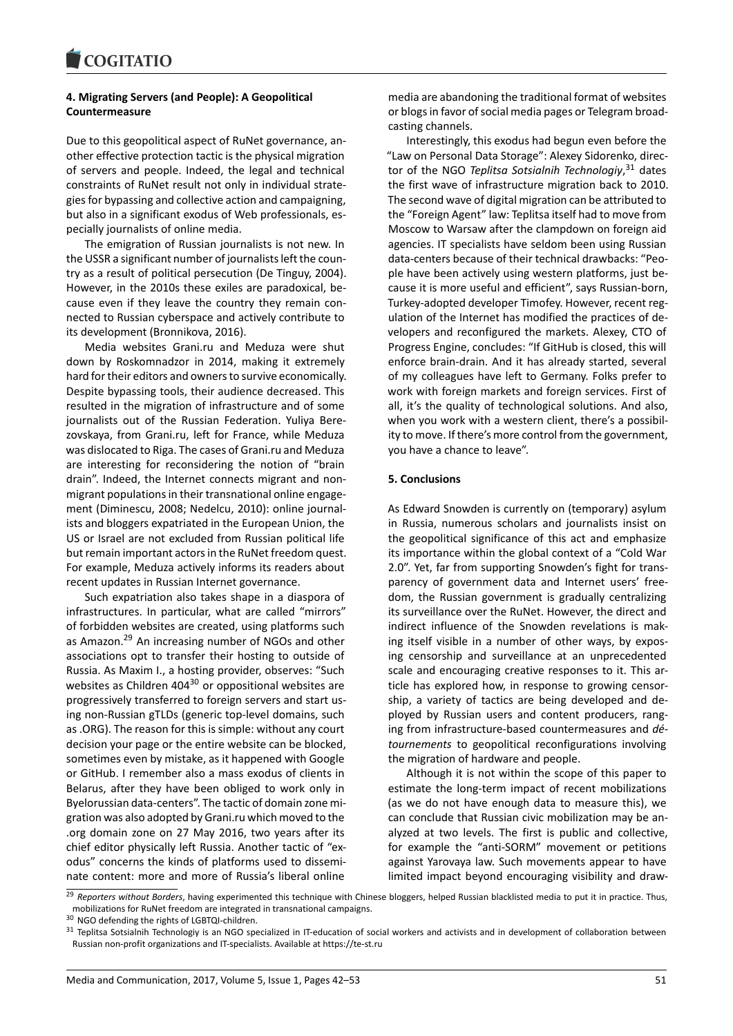# **4. Migrating Servers (and People): A Geopolitical Countermeasure**

Due to this geopolitical aspect of RuNet governance, another effective protection tactic is the physical migration of servers and people. Indeed, the legal and technical constraints of RuNet result not only in individual strategies for bypassing and collective action and campaigning, but also in a significant exodus of Web professionals, especially journalists of online media.

The emigration of Russian journalists is not new. In the USSR a significant number of journalists left the country as a result of political persecution (De Tinguy, 2004). However, in the 2010s these exiles are paradoxical, because even if they leave the country they remain connected to Russian cyberspace and actively contribute to its development (Bronnikova, 2016).

Media websites Grani.ru and Meduza were shut down by Roskomnadzor in 2014, making it extremely hard for their editors and owners to survive economically. Despite bypassing tools, their audience decreased. This resulted in the migration of infrastructure and of some journalists out of the Russian Federation. Yuliya Berezovskaya, from Grani.ru, left for France, while Meduza was dislocated to Riga. The cases of Grani.ru and Meduza are interesting for reconsidering the notion of "brain drain". Indeed, the Internet connects migrant and nonmigrant populations in their transnational online engagement (Diminescu, 2008; Nedelcu, 2010): online journalists and bloggers expatriated in the European Union, the US or Israel are not excluded from Russian political life but remain important actors in the RuNet freedom quest. For example, Meduza actively informs its readers about recent updates in Russian Internet governance.

Such expatriation also takes shape in a diaspora of infrastructures. In particular, what are called "mirrors" of forbidden websites are created, using platforms such as Amazon.<sup>29</sup> An increasing number of NGOs and other associations opt to transfer their hosting to outside of Russia. As Maxim I., a hosting provider, observes: "Such websites as Children  $404^{30}$  or oppositional websites are progressiv[ely](#page-9-0) transferred to foreign servers and start using non-Russian gTLDs (generic top-level domains, such as .ORG). The reason for this is simple: without any court decision your page or th[e e](#page-9-1)ntire website can be blocked, sometimes even by mistake, as it happened with Google or GitHub. I remember also a mass exodus of clients in Belarus, after they have been obliged to work only in Byelorussian data-centers". The tactic of domain zone migration was also adopted by Grani.ru which moved to the .org domain zone on 27 May 2016, two years after its chief editor physically left Russia. Another tactic of "exodus" concerns the kinds of platforms used to disseminate content: more and more of Russia's liberal online

media are abandoning the traditional format of websites or blogs in favor of social media pages or Telegram broadcasting channels.

Interestingly, this exodus had begun even before the "Law on Personal Data Storage": Alexey Sidorenko, director of the NGO *Teplitsa Sotsialnih Technologiy*, <sup>31</sup> dates the first wave of infrastructure migration back to 2010. The second wave of digital migration can be attributed to the "Foreign Agent" law: Teplitsa itself had to move from Moscow to Warsaw after the clampdown on fo[rei](#page-9-2)gn aid agencies. IT specialists have seldom been using Russian data-centers because of their technical drawbacks: "People have been actively using western platforms, just because it is more useful and efficient", says Russian-born, Turkey-adopted developer Timofey. However, recent regulation of the Internet has modified the practices of developers and reconfigured the markets. Alexey, CTO of Progress Engine, concludes: "If GitHub is closed, this will enforce brain-drain. And it has already started, several of my colleagues have left to Germany. Folks prefer to work with foreign markets and foreign services. First of all, it's the quality of technological solutions. And also, when you work with a western client, there's a possibility to move. If there's more control from the government, you have a chance to leave".

### **5. Conclusions**

As Edward Snowden is currently on (temporary) asylum in Russia, numerous scholars and journalists insist on the geopolitical significance of this act and emphasize its importance within the global context of a "Cold War 2.0". Yet, far from supporting Snowden's fight for transparency of government data and Internet users' freedom, the Russian government is gradually centralizing its surveillance over the RuNet. However, the direct and indirect influence of the Snowden revelations is making itself visible in a number of other ways, by exposing censorship and surveillance at an unprecedented scale and encouraging creative responses to it. This article has explored how, in response to growing censorship, a variety of tactics are being developed and deployed by Russian users and content producers, ranging from infrastructure-based countermeasures and *détournements* to geopolitical reconfigurations involving the migration of hardware and people.

Although it is not within the scope of this paper to estimate the long-term impact of recent mobilizations (as we do not have enough data to measure this), we can conclude that Russian civic mobilization may be analyzed at two levels. The first is public and collective, for example the "anti-SORM" movement or petitions against Yarovaya law. Such movements appear to have limited impact beyond encouraging visibility and draw-

<sup>29</sup> *Reporters without Borders*, having experimented this technique with Chinese bloggers, helped Russian blacklisted media to put it in practice. Thus, mobilizations for RuNet freedom are integrated in transnational campaigns.

<sup>30</sup> NGO defending the rights of LGBTQI-children.

<span id="page-9-2"></span><span id="page-9-1"></span><span id="page-9-0"></span><sup>&</sup>lt;sup>31</sup> Teplitsa Sotsialnih Technologiy is an NGO specialized in IT-education of social workers and activists and in development of collaboration between Russian non-profit organizations and IT-specialists. Available at https://te-st.ru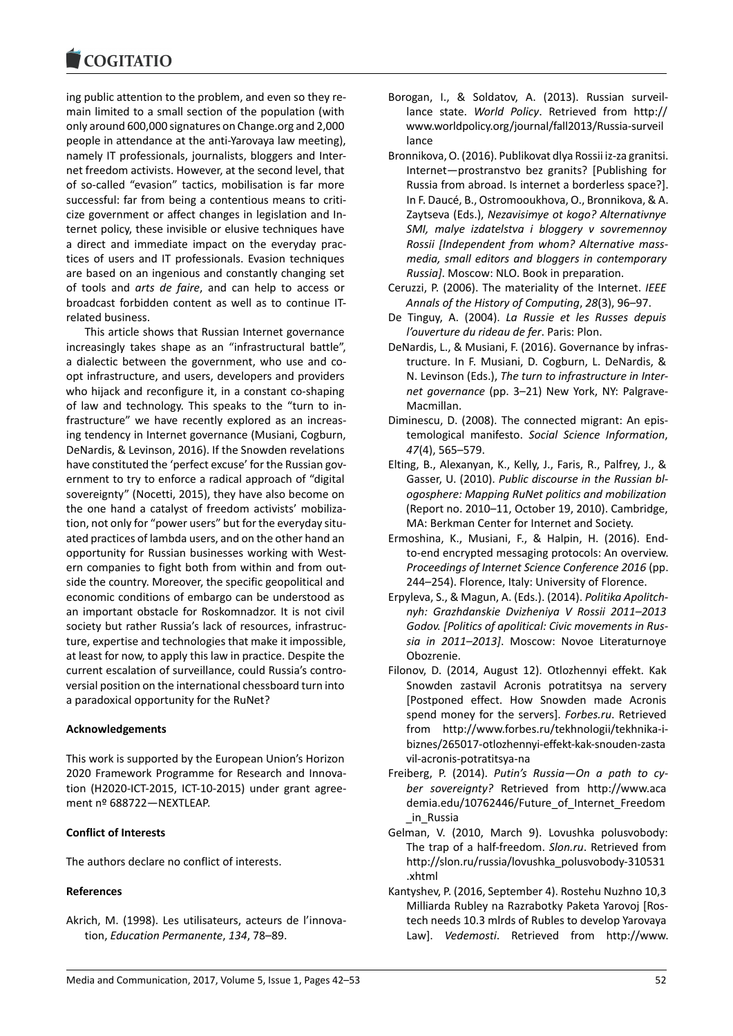ing public attention to the problem, and even so they remain limited to a small section of the population (with only around 600,000 signatures on Change.org and 2,000 people in attendance at the anti-Yarovaya law meeting), namely IT professionals, journalists, bloggers and Internet freedom activists. However, at the second level, that of so-called "evasion" tactics, mobilisation is far more successful: far from being a contentious means to criticize government or affect changes in legislation and Internet policy, these invisible or elusive techniques have a direct and immediate impact on the everyday practices of users and IT professionals. Evasion techniques are based on an ingenious and constantly changing set of tools and *arts de faire*, and can help to access or broadcast forbidden content as well as to continue ITrelated business.

This article shows that Russian Internet governance increasingly takes shape as an "infrastructural battle", a dialectic between the government, who use and coopt infrastructure, and users, developers and providers who hijack and reconfigure it, in a constant co-shaping of law and technology. This speaks to the "turn to infrastructure" we have recently explored as an increasing tendency in Internet governance (Musiani, Cogburn, DeNardis, & Levinson, 2016). If the Snowden revelations have constituted the 'perfect excuse' for the Russian government to try to enforce a radical approach of "digital sovereignty" (Nocetti, 2015), they have also become on the one hand a catalyst of freedom activists' mobilization, not only for "power users" but for the everyday situated practices of lambda users, and on the other hand an opportunity for Russian businesses working with Western companies to fight both from within and from outside the country. Moreover, the specific geopolitical and economic conditions of embargo can be understood as an important obstacle for Roskomnadzor. It is not civil society but rather Russia's lack of resources, infrastructure, expertise and technologies that make it impossible, at least for now, to apply this law in practice. Despite the current escalation of surveillance, could Russia's controversial position on the international chessboard turn into a paradoxical opportunity for the RuNet?

# **Acknowledgements**

This work is supported by the European Union's Horizon 2020 Framework Programme for Research and Innovation (H2020-ICT-2015, ICT-10-2015) under grant agreement nº 688722—NEXTLEAP.

### **Conflict of Interests**

The authors declare no conflict of interests.

# **References**

Akrich, M. (1998). Les utilisateurs, acteurs de l'innovation, *Education Permanente*, *134*, 78–89.

- Borogan, I., & Soldatov, A. (2013). Russian surveillance state. *World Policy*. Retrieved from http:// www.worldpolicy.org/journal/fall2013/Russia-surveil lance
- Bronnikova, O. (2016). Publikovat dlya Rossii iz-za granitsi. Internet—prostranstvo bez granits? [Publishing for Russia from abroad. Is internet a borderless space?]. In F. Daucé, B., Ostromooukhova, O., Bronnikova, & A. Zaytseva (Eds.), *Nezavisimye ot kogo? Alternativnye SMI, malye izdatelstva i bloggery v sovremennoy Rossii [Independent from whom? Alternative massmedia, small editors and bloggers in contemporary Russia]*. Moscow: NLO. Book in preparation.
- Ceruzzi, P. (2006). The materiality of the Internet. *IEEE Annals of the History of Computing*, *28*(3), 96–97.
- De Tinguy, A. (2004). *La Russie et les Russes depuis l'ouverture du rideau de fer*. Paris: Plon.
- DeNardis, L., & Musiani, F. (2016). Governance by infrastructure. In F. Musiani, D. Cogburn, L. DeNardis, & N. Levinson (Eds.), *The turn to infrastructure in Internet governance* (pp. 3–21) New York, NY: Palgrave-Macmillan.
- Diminescu, D. (2008). The connected migrant: An epistemological manifesto. *Social Science Information*, *47*(4), 565–579.
- Elting, B., Alexanyan, K., Kelly, J., Faris, R., Palfrey, J., & Gasser, U. (2010). *Public discourse in the Russian blogosphere: Mapping RuNet politics and mobilization* (Report no. 2010–11, October 19, 2010). Cambridge, MA: Berkman Center for Internet and Society.
- Ermoshina, K., Musiani, F., & Halpin, H. (2016). Endto-end encrypted messaging protocols: An overview. *Proceedings of Internet Science Conference 2016* (pp. 244–254). Florence, Italy: University of Florence.
- Erpyleva, S., & Magun, A. (Eds.). (2014). *Politika Apolitchnyh: Grazhdanskie Dvizheniya V Rossii 2011–2013 Godov. [Politics of apolitical: Civic movements in Russia in 2011–2013]*. Moscow: Novoe Literaturnoye Obozrenie.
- Filonov, D. (2014, August 12). Otlozhennyi effekt. Kak Snowden zastavil Acronis potratitsya na servery [Postponed effect. How Snowden made Acronis spend money for the servers]. *Forbes.ru*. Retrieved from http://www.forbes.ru/tekhnologii/tekhnika-ibiznes/265017-otlozhennyi-effekt-kak-snouden-zasta vil-acronis-potratitsya-na
- Freiberg, P. (2014). *Putin's Russia—On a path to cyber sovereignty?* Retrieved from http://www.aca demia.edu/10762446/Future\_of\_Internet\_Freedom \_in\_Russia
- Gelman, V. (2010, March 9). Lovushka polusvobody: The trap of a half-freedom. *Slon.ru*. Retrieved from http://slon.ru/russia/lovushka\_polusvobody-310531 .xhtml
- Kantyshev, P. (2016, September 4). Rostehu Nuzhno 10,3 Milliarda Rubley na Razrabotky Paketa Yarovoj [Rostech needs 10.3 mlrds of Rubles to develop Yarovaya Law]. *Vedemosti*. Retrieved from http://www.